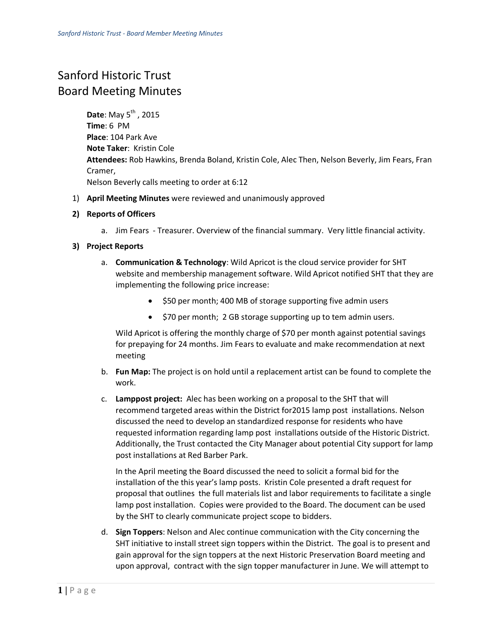## Sanford Historic Trust Board Meeting Minutes

**Date:** May 5<sup>th</sup>, 2015 **Time**: 6 PM **Place**: 104 Park Ave **Note Taker**: Kristin Cole **Attendees:** Rob Hawkins, Brenda Boland, Kristin Cole, Alec Then, Nelson Beverly, Jim Fears, Fran Cramer, Nelson Beverly calls meeting to order at 6:12

- 1) **April Meeting Minutes** were reviewed and unanimously approved
- **2) Reports of Officers**
	- a. Jim Fears Treasurer. Overview of the financial summary. Very little financial activity.

## **3) Project Reports**

- a. **Communication & Technology**: Wild Apricot is the cloud service provider for SHT website and membership management software. Wild Apricot notified SHT that they are implementing the following price increase:
	- \$50 per month; 400 MB of storage supporting five admin users
	- \$70 per month; 2 GB storage supporting up to tem admin users.

Wild Apricot is offering the monthly charge of \$70 per month against potential savings for prepaying for 24 months. Jim Fears to evaluate and make recommendation at next meeting

- b. **Fun Map:** The project is on hold until a replacement artist can be found to complete the work.
- c. **Lamppost project:** Alec has been working on a proposal to the SHT that will recommend targeted areas within the District for2015 lamp post installations. Nelson discussed the need to develop an standardized response for residents who have requested information regarding lamp post installations outside of the Historic District. Additionally, the Trust contacted the City Manager about potential City support for lamp post installations at Red Barber Park.

In the April meeting the Board discussed the need to solicit a formal bid for the installation of the this year's lamp posts. Kristin Cole presented a draft request for proposal that outlines the full materials list and labor requirements to facilitate a single lamp post installation. Copies were provided to the Board. The document can be used by the SHT to clearly communicate project scope to bidders.

d. **Sign Toppers**: Nelson and Alec continue communication with the City concerning the SHT initiative to install street sign toppers within the District. The goal is to present and gain approval for the sign toppers at the next Historic Preservation Board meeting and upon approval, contract with the sign topper manufacturer in June. We will attempt to